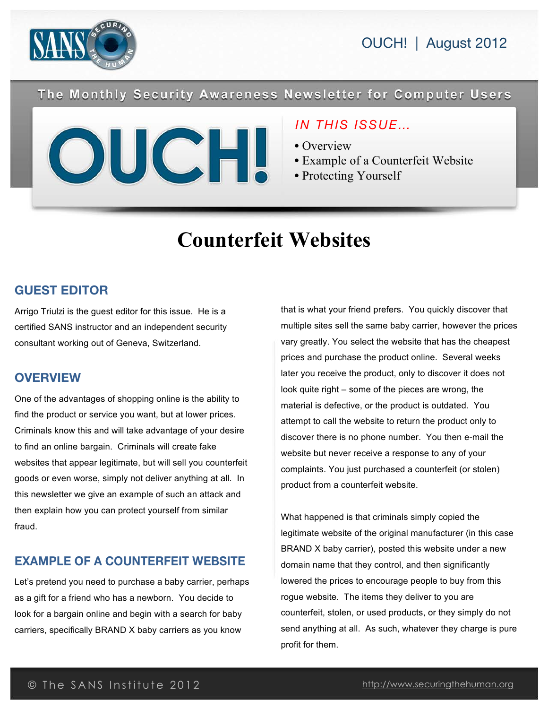

The Monthly Security Awareness Newsletter for Computer Users



## *IN THIS ISSUE…*

- Overview
- Example of a Counterfeit Website
- Protecting Yourself

# **Counterfeit Websites**

### **GUEST EDITOR**

Arrigo Triulzi is the guest editor for this issue. He is a certified SANS instructor and an independent security consultant working out of Geneva, Switzerland.

### **OVERVIEW**

One of the advantages of shopping online is the ability to find the product or service you want, but at lower prices. Criminals know this and will take advantage of your desire to find an online bargain. Criminals will create fake websites that appear legitimate, but will sell you counterfeit goods or even worse, simply not deliver anything at all. In this newsletter we give an example of such an attack and then explain how you can protect yourself from similar fraud.

## **EXAMPLE OF A COUNTERFEIT WEBSITE**

Let's pretend you need to purchase a baby carrier, perhaps as a gift for a friend who has a newborn. You decide to look for a bargain online and begin with a search for baby carriers, specifically BRAND X baby carriers as you know

that is what your friend prefers. You quickly discover that multiple sites sell the same baby carrier, however the prices vary greatly. You select the website that has the cheapest prices and purchase the product online. Several weeks later you receive the product, only to discover it does not look quite right – some of the pieces are wrong, the material is defective, or the product is outdated. You attempt to call the website to return the product only to discover there is no phone number. You then e-mail the website but never receive a response to any of your complaints. You just purchased a counterfeit (or stolen) product from a counterfeit website.

What happened is that criminals simply copied the legitimate website of the original manufacturer (in this case BRAND X baby carrier), posted this website under a new domain name that they control, and then significantly lowered the prices to encourage people to buy from this rogue website. The items they deliver to you are counterfeit, stolen, or used products, or they simply do not send anything at all. As such, whatever they charge is pure profit for them.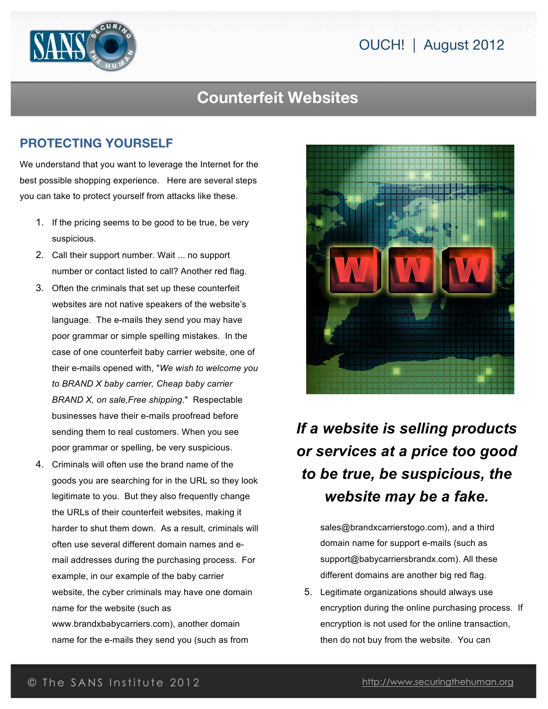# OUCH! | August 2012



# **Counterfeit Websites**

#### **PROTECTING YOURSELF**

We understand that you want to leverage the Internet for the best possible shopping experience. Here are several steps you can take to protect yourself from attacks like these.

- 1. If the pricing seems to be good to be true, be very suspicious.
- 2. Call their support number. Wait ... no support number or contact listed to call? Another red flag.
- 3. Often the criminals that set up these counterfeit websites are not native speakers of the website's language. The e-mails they send you may have poor grammar or simple spelling mistakes. In the case of one counterfeit baby carrier website, one of their e-mails opened with, "*We wish to welcome you to BRAND X baby carrier, Cheap baby carrier BRAND X, on sale,Free shipping*." Respectable businesses have their e-mails proofread before sending them to real customers. When you see poor grammar or spelling, be very suspicious.
- 4. Criminals will often use the brand name of the goods you are searching for in the URL so they look legitimate to you. But they also frequently change the URLs of their counterfeit websites, making it harder to shut them down. As a result, criminals will often use several different domain names and email addresses during the purchasing process. For example, in our example of the baby carrier website, the cyber criminals may have one domain name for the website (such as www.brandxbabycarriers.com), another domain name for the e-mails they send you (such as from



# *If a website is selling products or services at a price too good to be true, be suspicious, the website may be a fake.*

sales@brandxcarrierstogo.com), and a third domain name for support e-mails (such as support@babycarriersbrandx.com). All these different domains are another big red flag.

5. Legitimate organizations should always use encryption during the online purchasing process. If encryption is not used for the online transaction, then do not buy from the website. You can